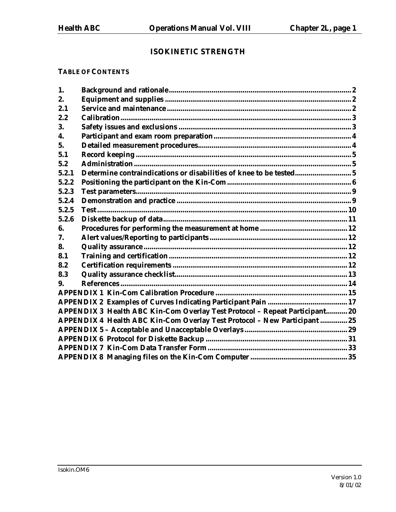# **ISOKINETIC STRENGTH**

#### **TABLE OF CONTENTS**

| 1.    |                                                                             |  |
|-------|-----------------------------------------------------------------------------|--|
| 2.    |                                                                             |  |
| 2.1   |                                                                             |  |
| 2.2   |                                                                             |  |
| 3.    |                                                                             |  |
| 4.    |                                                                             |  |
| 5.    |                                                                             |  |
| 5.1   |                                                                             |  |
| 5.2   |                                                                             |  |
| 5.2.1 | Determine contraindications or disabilities of knee to be tested 5          |  |
| 5.2.2 |                                                                             |  |
| 5.2.3 |                                                                             |  |
| 5.2.4 |                                                                             |  |
| 5.2.5 |                                                                             |  |
| 5.2.6 |                                                                             |  |
| 6.    |                                                                             |  |
| 7.    |                                                                             |  |
| 8.    |                                                                             |  |
| 8.1   |                                                                             |  |
| 8.2   |                                                                             |  |
| 8.3   |                                                                             |  |
| 9.    |                                                                             |  |
|       |                                                                             |  |
|       |                                                                             |  |
|       | APPENDIX 3 Health ABC Kin-Com Overlay Test Protocol - Repeat Participant 20 |  |
|       | APPENDIX 4 Health ABC Kin-Com Overlay Test Protocol - New Participant  25   |  |
|       |                                                                             |  |
|       |                                                                             |  |
|       |                                                                             |  |
|       |                                                                             |  |
|       |                                                                             |  |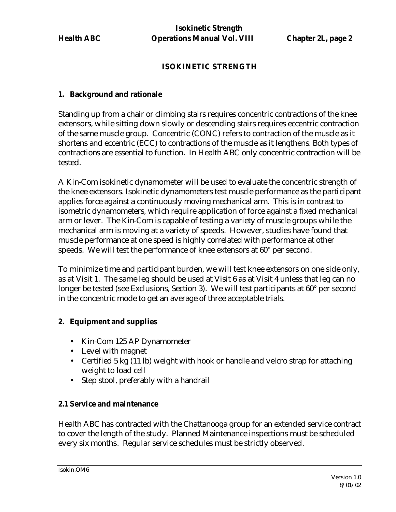#### **ISOKINETIC STRENGTH**

#### **1. Background and rationale**

Standing up from a chair or climbing stairs requires concentric contractions of the knee extensors, while sitting down slowly or descending stairs requires eccentric contraction of the same muscle group. Concentric (CONC) refers to contraction of the muscle as it shortens and eccentric (ECC) to contractions of the muscle as it lengthens. Both types of contractions are essential to function. In Health ABC only concentric contraction will be tested.

A Kin-Com isokinetic dynamometer will be used to evaluate the concentric strength of the knee extensors. Isokinetic dynamometers test muscle performance as the participant applies force against a continuously moving mechanical arm. This is in contrast to isometric dynamometers, which require application of force against a fixed mechanical arm or lever. The Kin-Com is capable of testing a variety of muscle groups while the mechanical arm is moving at a variety of speeds. However, studies have found that muscle performance at one speed is highly correlated with performance at other speeds. We will test the performance of knee extensors at 60° per second.

To minimize time and participant burden, we will test knee extensors on one side only, as at Visit 1. The same leg should be used at Visit 6 as at Visit 4 unless that leg can no longer be tested (see Exclusions, Section 3). We will test participants at 60° per second in the concentric mode to get an average of three acceptable trials.

#### **2. Equipment and supplies**

- Kin-Com 125 AP Dynamometer
- Level with magnet
- Certified 5 kg (11 lb) weight with hook or handle and velcro strap for attaching weight to load cell
- Step stool, preferably with a handrail

#### **2.1 Service and maintenance**

Health ABC has contracted with the Chattanooga group for an extended service contract to cover the length of the study. Planned Maintenance inspections must be scheduled every six months. Regular service schedules must be strictly observed.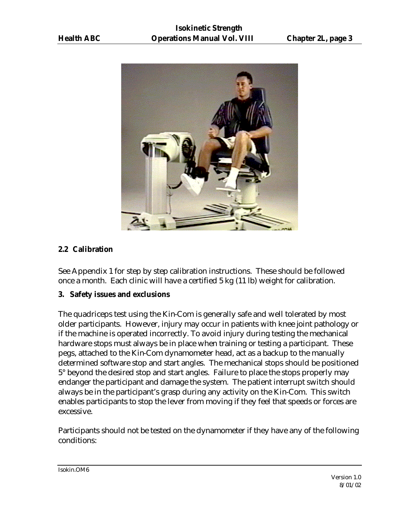

#### **2.2 Calibration**

See Appendix 1 for step by step calibration instructions. These should be followed once a month. Each clinic will have a certified 5 kg (11 lb) weight for calibration.

#### **3. Safety issues and exclusions**

The quadriceps test using the Kin-Com is generally safe and well tolerated by most older participants. However, injury may occur in patients with knee joint pathology or if the machine is operated incorrectly. To avoid injury during testing the mechanical hardware stops must always be in place when training or testing a participant. These pegs, attached to the Kin-Com dynamometer head, act as a backup to the manually determined software stop and start angles. The mechanical stops should be positioned 5° beyond the desired stop and start angles. Failure to place the stops properly may endanger the participant and damage the system. The patient interrupt switch should always be in the participant's grasp during any activity on the Kin-Com. This switch enables participants to stop the lever from moving if they feel that speeds or forces are excessive.

Participants should not be tested on the dynamometer if they have any of the following conditions: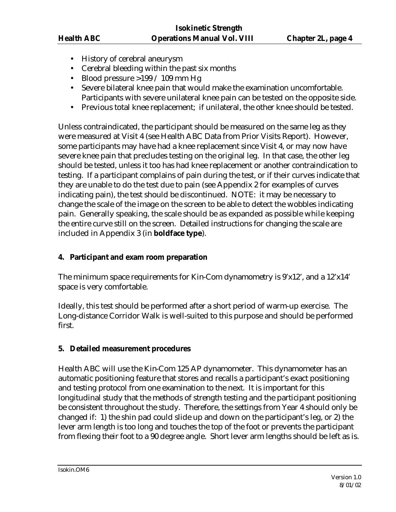- History of cerebral aneurysm
- Cerebral bleeding within the past six months
- Blood pressure  $>199/109$  mm Hg
- Severe bilateral knee pain that would make the examination uncomfortable. Participants with severe unilateral knee pain can be tested on the opposite side.
- Previous total knee replacement; if unilateral, the other knee should be tested.

Unless contraindicated, the participant should be measured on the same leg as they were measured at Visit 4 (see Health ABC Data from Prior Visits Report). However, some participants may have had a knee replacement since Visit 4, or may now have severe knee pain that precludes testing on the original leg. In that case, the other leg should be tested, unless it too has had knee replacement or another contraindication to testing. If a participant complains of pain during the test, or if their curves indicate that they are unable to do the test due to pain (see Appendix 2 for examples of curves indicating pain), the test should be discontinued. NOTE: it may be necessary to change the scale of the image on the screen to be able to detect the wobbles indicating pain. Generally speaking, the scale should be as expanded as possible while keeping the entire curve still on the screen. Detailed instructions for changing the scale are included in Appendix 3 (in **boldface type**).

#### **4. Participant and exam room preparation**

The minimum space requirements for Kin-Com dynamometry is 9'x12', and a 12'x14' space is very comfortable.

Ideally, this test should be performed after a short period of warm-up exercise. The Long-distance Corridor Walk is well-suited to this purpose and should be performed first.

#### **5. Detailed measurement procedures**

Health ABC will use the Kin-Com 125 AP dynamometer. This dynamometer has an automatic positioning feature that stores and recalls a participant's exact positioning and testing protocol from one examination to the next. It is important for this longitudinal study that the methods of strength testing and the participant positioning be consistent throughout the study. Therefore, the settings from Year 4 should only be changed if: 1) the shin pad could slide up and down on the participant's leg, or 2) the lever arm length is too long and touches the top of the foot or prevents the participant from flexing their foot to a 90 degree angle. Short lever arm lengths should be left as is.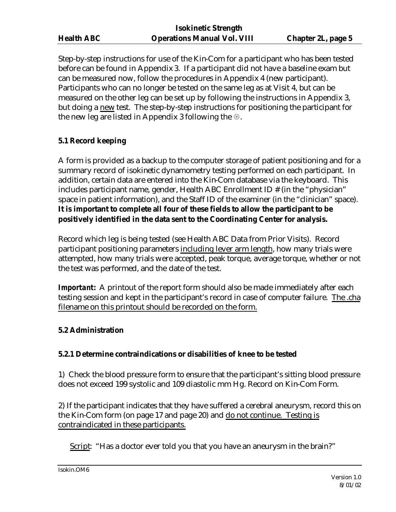Step-by-step instructions for use of the Kin-Com for a participant who has been tested before can be found in Appendix 3. If a participant did not have a baseline exam but can be measured now, follow the procedures in Appendix 4 (new participant). Participants who can no longer be tested on the same leg as at Visit 4, but can be measured on the other leg can be set up by following the instructions in Appendix 3, but doing a new test. The step-by-step instructions for positioning the participant for the new leg are listed in Appendix 3 following the  $\mathcal{L}$ .

# **5.1 Record keeping**

A form is provided as a backup to the computer storage of patient positioning and for a summary record of isokinetic dynamometry testing performed on each participant. In addition, certain data are entered into the Kin-Com database via the keyboard. This includes participant name, gender, Health ABC Enrollment ID # (in the "physician" space in patient information), and the Staff ID of the examiner (in the "clinician" space). **It is important to complete all four of these fields to allow the participant to be positively identified in the data sent to the Coordinating Center for analysis.**

Record which leg is being tested (see Health ABC Data from Prior Visits). Record participant positioning parameters including lever arm length, how many trials were attempted, how many trials were accepted, peak torque, average torque, whether or not the test was performed, and the date of the test.

**Important:** A printout of the report form should also be made immediately after each testing session and kept in the participant's record in case of computer failure. The .cha filename on this printout should be recorded on the form.

#### **5.2 Administration**

#### **5.2.1 Determine contraindications or disabilities of knee to be tested**

1) Check the blood pressure form to ensure that the participant's sitting blood pressure does not exceed 199 systolic and 109 diastolic mm Hg. Record on Kin-Com Form.

2) If the participant indicates that they have suffered a cerebral aneurysm, record this on the Kin-Com form (on page 17 and page 20) and do not continue. Testing is contraindicated in these participants.

Script: "Has a doctor ever told you that you have an aneurysm in the brain?"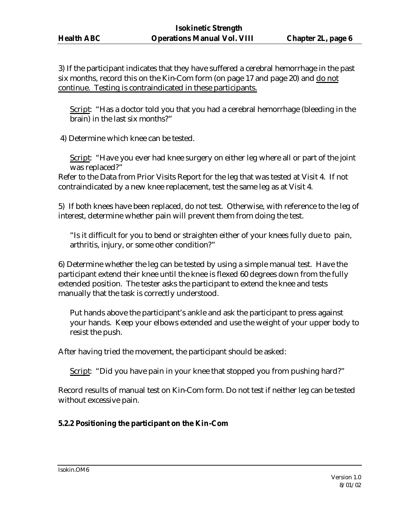3) If the participant indicates that they have suffered a cerebral hemorrhage in the past six months, record this on the Kin-Com form (on page 17 and page 20) and do not continue. Testing is contraindicated in these participants.

Script: "Has a doctor told you that you had a cerebral hemorrhage (bleeding in the brain) in the last six months?"

4) Determine which knee can be tested.

Script: "Have you ever had knee surgery on either leg where all or part of the joint was replaced?"

Refer to the Data from Prior Visits Report for the leg that was tested at Visit 4. If not contraindicated by a new knee replacement, test the same leg as at Visit 4.

5) If both knees have been replaced, do not test. Otherwise, with reference to the leg of interest, determine whether pain will prevent them from doing the test.

"Is it difficult for you to bend or straighten either of your knees fully due to pain, arthritis, injury, or some other condition?"

6) Determine whether the leg can be tested by using a simple manual test. Have the participant extend their knee until the knee is flexed 60 degrees down from the fully extended position. The tester asks the participant to extend the knee and tests manually that the task is correctly understood.

Put hands above the participant's ankle and ask the participant to press against your hands. Keep your elbows extended and use the weight of your upper body to resist the push.

After having tried the movement, the participant should be asked:

Script: "Did you have pain in your knee that stopped you from pushing hard?"

Record results of manual test on Kin-Com form. Do not test if neither leg can be tested without excessive pain.

#### **5.2.2 Positioning the participant on the Kin-Com**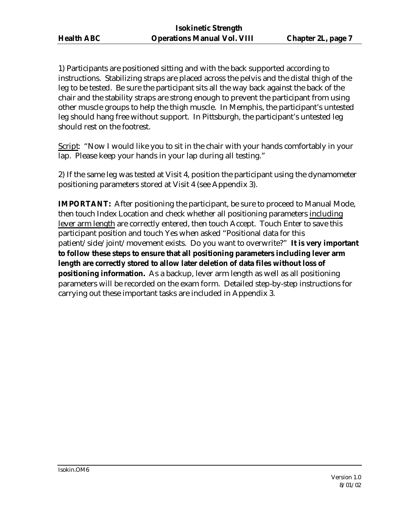1) Participants are positioned sitting and with the back supported according to instructions. Stabilizing straps are placed across the pelvis and the distal thigh of the leg to be tested. Be sure the participant sits all the way back against the back of the chair and the stability straps are strong enough to prevent the participant from using other muscle groups to help the thigh muscle. In Memphis, the participant's untested leg should hang free without support. In Pittsburgh, the participant's untested leg should rest on the footrest.

Script: "Now I would like you to sit in the chair with your hands comfortably in your lap. Please keep your hands in your lap during all testing."

2) If the same leg was tested at Visit 4, position the participant using the dynamometer positioning parameters stored at Visit 4 (see Appendix 3).

**IMPORTANT:** After positioning the participant, be sure to proceed to Manual Mode, then touch Index Location and check whether all positioning parameters including lever arm length are correctly entered, then touch Accept. Touch Enter to save this participant position and touch Yes when asked "Positional data for this patient/side/joint/movement exists. Do you want to overwrite?" **It is very important to follow these steps to ensure that all positioning parameters including lever arm length are correctly stored to allow later deletion of data files without loss of positioning information.** As a backup, lever arm length as well as all positioning parameters will be recorded on the exam form. Detailed step-by-step instructions for carrying out these important tasks are included in Appendix 3.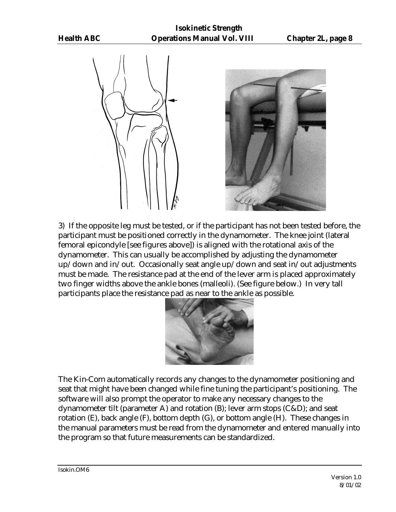



3) If the opposite leg must be tested, or if the participant has not been tested before, the participant must be positioned correctly in the dynamometer. The knee joint (lateral femoral epicondyle [see figures above]) is aligned with the rotational axis of the dynamometer. This can usually be accomplished by adjusting the dynamometer up/down and in/out. Occasionally seat angle up/down and seat in/out adjustments must be made. The resistance pad at the end of the lever arm is placed approximately two finger widths above the ankle bones (malleoli). (See figure below.) In very tall participants place the resistance pad as near to the ankle as possible.



The Kin-Com automatically records any changes to the dynamometer positioning and seat that might have been changed while fine tuning the participant's positioning. The software will also prompt the operator to make any necessary changes to the dynamometer tilt (parameter A) and rotation (B); lever arm stops (C&D); and seat rotation (E), back angle (F), bottom depth (G), or bottom angle (H). These changes in the manual parameters must be read from the dynamometer and entered manually into the program so that future measurements can be standardized.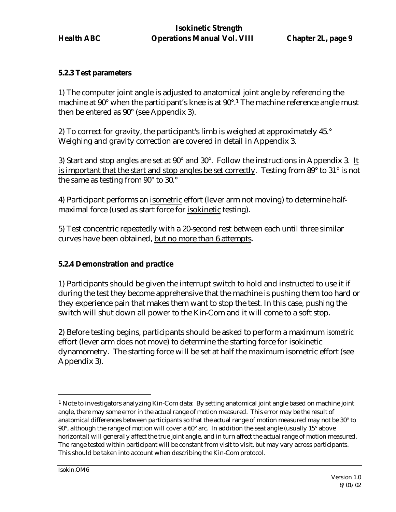#### **5.2.3 Test parameters**

1) The computer joint angle is adjusted to anatomical joint angle by referencing the machine at 90° when the participant's knee is at 90°.<sup>1</sup> The machine reference angle must then be entered as 90° (see Appendix 3).

2) To correct for gravity, the participant's limb is weighed at approximately 45.° Weighing and gravity correction are covered in detail in Appendix 3.

3) Start and stop angles are set at 90° and 30°.Follow the instructions in Appendix 3. It is important that the start and stop angles be set correctly. Testing from 89° to 31° is not the same as testing from 90° to 30.°

4) Participant performs an isometric effort (lever arm not moving) to determine halfmaximal force (used as start force for isokinetic testing).

5) Test concentric repeatedly with a 20-second rest between each until three similar curves have been obtained, but no more than 6 attempts.

#### **5.2.4 Demonstration and practice**

1) Participants should be given the interrupt switch to hold and instructed to use it if during the test they become apprehensive that the machine is pushing them too hard or they experience pain that makes them want to stop the test. In this case, pushing the switch will shut down all power to the Kin-Com and it will come to a soft stop.

2) Before testing begins, participants should be asked to perform a maximum *isometric* effort (lever arm does not move) to determine the starting force for isokinetic dynamometry. The starting force will be set at half the maximum isometric effort (see Appendix 3).

 $\overline{a}$ 

 $<sup>1</sup>$  Note to investigators analyzing Kin-Com data: By setting anatomical joint angle based on machine joint</sup> angle, there may some error in the actual range of motion measured. This error may be the result of anatomical differences between participants so that the actual range of motion measured may not be 30° to 90°, although the range of motion will cover a 60° arc. In addition the seat angle (usually 15° above horizontal) will generally affect the true joint angle, and in turn affect the actual range of motion measured. The range tested within participant will be constant from visit to visit, but may vary across participants. This should be taken into account when describing the Kin-Com protocol.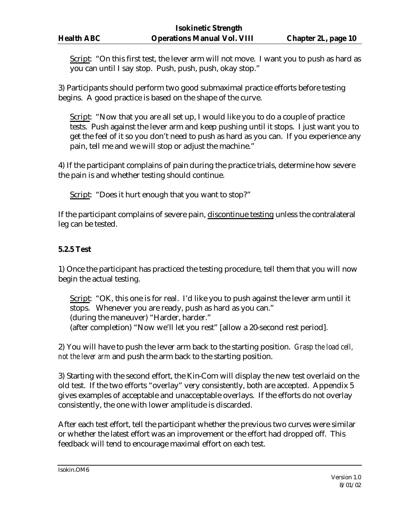Script: "On this first test, the lever arm will not move. I want you to push as hard as you can until I say stop. Push, push, push, okay stop."

3) Participants should perform two good submaximal practice efforts before testing begins. A good practice is based on the shape of the curve.

Script: "Now that you are all set up, I would like you to do a couple of practice tests. Push against the lever arm and keep pushing until it stops. I just want you to get the feel of it so you don't need to push as hard as you can. If you experience any pain, tell me and we will stop or adjust the machine."

4) If the participant complains of pain during the practice trials, determine how severe the pain is and whether testing should continue.

Script: "Does it hurt enough that you want to stop?"

If the participant complains of severe pain, discontinue testing unless the contralateral leg can be tested.

#### **5.2.5 Test**

1) Once the participant has practiced the testing procedure, tell them that you will now begin the actual testing.

Script: "OK, this one is for real. I'd like you to push against the lever arm until it stops. Whenever you are ready, push as hard as you can." (during the maneuver) "Harder, harder." (after completion) "Now we'll let you rest" [allow a 20-second rest period].

2) You will have to push the lever arm back to the starting position. *Grasp the load cell, not the lever arm* and push the arm back to the starting position.

3) Starting with the second effort, the Kin-Com will display the new test overlaid on the old test. If the two efforts "overlay" very consistently, both are accepted. Appendix 5 gives examples of acceptable and unacceptable overlays. If the efforts do not overlay consistently, the one with lower amplitude is discarded.

After each test effort, tell the participant whether the previous two curves were similar or whether the latest effort was an improvement or the effort had dropped off. This feedback will tend to encourage maximal effort on each test.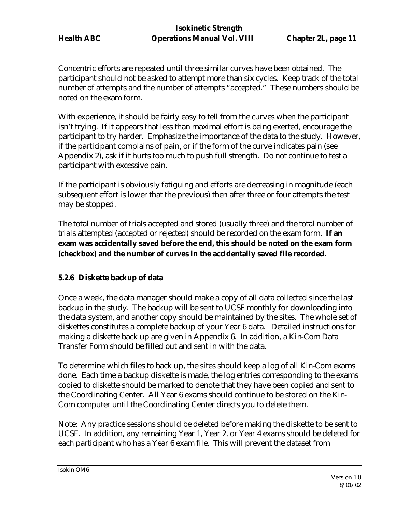Concentric efforts are repeated until three similar curves have been obtained. The participant should not be asked to attempt more than six cycles. Keep track of the total number of attempts and the number of attempts "accepted." These numbers should be noted on the exam form.

With experience, it should be fairly easy to tell from the curves when the participant isn't trying. If it appears that less than maximal effort is being exerted, encourage the participant to try harder. Emphasize the importance of the data to the study. However, if the participant complains of pain, or if the form of the curve indicates pain (see Appendix 2), ask if it hurts too much to push full strength. Do not continue to test a participant with excessive pain.

If the participant is obviously fatiguing and efforts are decreasing in magnitude (each subsequent effort is lower that the previous) then after three or four attempts the test may be stopped.

The total number of trials accepted and stored (usually three) and the total number of trials attempted (accepted or rejected) should be recorded on the exam form. **If an exam was accidentally saved before the end, this should be noted on the exam form (checkbox) and the number of curves in the accidentally saved file recorded.**

# **5.2.6 Diskette backup of data**

Once a week, the data manager should make a copy of all data collected since the last backup in the study. The backup will be sent to UCSF monthly for downloading into the data system, and another copy should be maintained by the sites. The whole set of diskettes constitutes a complete backup of your Year 6 data. Detailed instructions for making a diskette back up are given in Appendix 6. In addition, a Kin-Com Data Transfer Form should be filled out and sent in with the data.

To determine which files to back up, the sites should keep a log of all Kin-Com exams done. Each time a backup diskette is made, the log entries corresponding to the exams copied to diskette should be marked to denote that they have been copied and sent to the Coordinating Center. All Year 6 exams should continue to be stored on the Kin-Com computer until the Coordinating Center directs you to delete them.

Note: Any practice sessions should be deleted before making the diskette to be sent to UCSF. In addition, any remaining Year 1, Year 2, or Year 4 exams should be deleted for each participant who has a Year 6 exam file. This will prevent the dataset from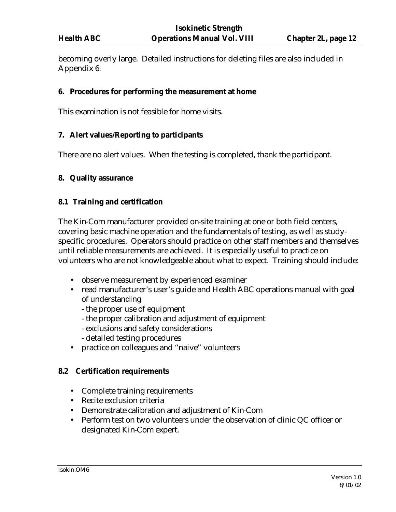becoming overly large. Detailed instructions for deleting files are also included in Appendix 6.

#### **6. Procedures for performing the measurement at home**

This examination is not feasible for home visits.

#### **7. Alert values/Reporting to participants**

There are no alert values. When the testing is completed, thank the participant.

#### **8. Quality assurance**

#### **8.1 Training and certification**

The Kin-Com manufacturer provided on-site training at one or both field centers, covering basic machine operation and the fundamentals of testing, as well as studyspecific procedures. Operators should practice on other staff members and themselves until reliable measurements are achieved. It is especially useful to practice on volunteers who are not knowledgeable about what to expect. Training should include:

- observe measurement by experienced examiner
- read manufacturer's user's guide and Health ABC operations manual with goal of understanding
	- the proper use of equipment
	- the proper calibration and adjustment of equipment
	- exclusions and safety considerations
	- detailed testing procedures
- practice on colleagues and "naive" volunteers

#### **8.2 Certification requirements**

- Complete training requirements
- Recite exclusion criteria
- Demonstrate calibration and adjustment of Kin-Com
- Perform test on two volunteers under the observation of clinic QC officer or designated Kin-Com expert.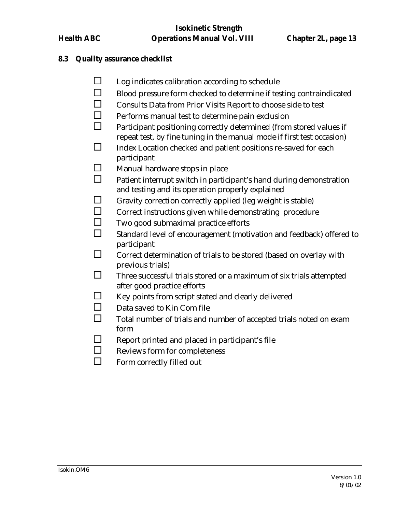#### **8.3 Quality assurance checklist**

- $\square$  Log indicates calibration according to schedule
- $\square$  Blood pressure form checked to determine if testing contraindicated
- $\Box$  Consults Data from Prior Visits Report to choose side to test
- $\Box$  Performs manual test to determine pain exclusion
- $\Box$  Participant positioning correctly determined (from stored values if repeat test, by fine tuning in the manual mode if first test occasion)
- $\square$  Index Location checked and patient positions re-saved for each participant
- $\square$  Manual hardware stops in place
- $\Box$  Patient interrupt switch in participant's hand during demonstration and testing and its operation properly explained
- $\Box$  Gravity correction correctly applied (leg weight is stable)
- □ Correct instructions given while demonstrating procedure
- $\square$  Two good submaximal practice efforts
- $\square$  Standard level of encouragement (motivation and feedback) offered to participant
- $\square$  Correct determination of trials to be stored (based on overlay with previous trials)
- $\square$  Three successful trials stored or a maximum of six trials attempted after good practice efforts
- $\Box$  Key points from script stated and clearly delivered
- $\square$  Data saved to Kin Com file
- $\Box$  Total number of trials and number of accepted trials noted on exam form
- $\square$  Report printed and placed in participant's file
- $\Box$  Reviews form for completeness
- $\square$  Form correctly filled out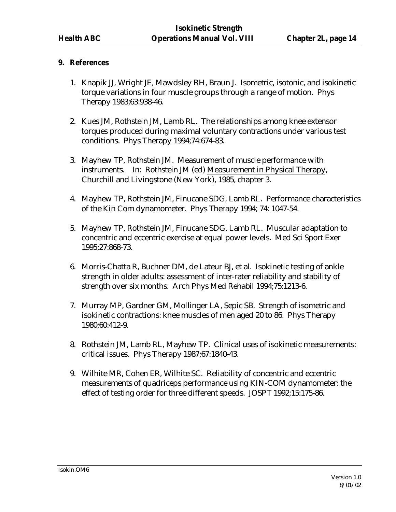#### **9. References**

- 1. Knapik JJ, Wright JE, Mawdsley RH, Braun J. Isometric, isotonic, and isokinetic torque variations in four muscle groups through a range of motion. Phys Therapy 1983;63:938-46.
- 2. Kues JM, Rothstein JM, Lamb RL. The relationships among knee extensor torques produced during maximal voluntary contractions under various test conditions. Phys Therapy 1994;74:674-83.
- 3. Mayhew TP, Rothstein JM. Measurement of muscle performance with instruments. In: Rothstein JM (ed) Measurement in Physical Therapy, Churchill and Livingstone (New York), 1985, chapter 3.
- 4. Mayhew TP, Rothstein JM, Finucane SDG, Lamb RL. Performance characteristics of the Kin Com dynamometer. Phys Therapy 1994; 74: 1047-54.
- 5. Mayhew TP, Rothstein JM, Finucane SDG, Lamb RL. Muscular adaptation to concentric and eccentric exercise at equal power levels. Med Sci Sport Exer 1995;27:868-73.
- 6. Morris-Chatta R, Buchner DM, de Lateur BJ, et al. Isokinetic testing of ankle strength in older adults: assessment of inter-rater reliability and stability of strength over six months. Arch Phys Med Rehabil 1994;75:1213-6.
- 7. Murray MP, Gardner GM, Mollinger LA, Sepic SB. Strength of isometric and isokinetic contractions: knee muscles of men aged 20 to 86. Phys Therapy 1980;60:412-9.
- 8. Rothstein JM, Lamb RL, Mayhew TP. Clinical uses of isokinetic measurements: critical issues. Phys Therapy 1987;67:1840-43.
- 9. Wilhite MR, Cohen ER, Wilhite SC. Reliability of concentric and eccentric measurements of quadriceps performance using KIN-COM dynamometer: the effect of testing order for three different speeds. JOSPT 1992;15:175-86.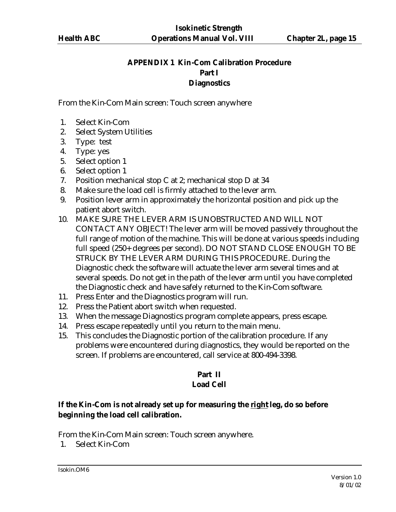# **APPENDIX 1 Kin-Com Calibration Procedure Part I Diagnostics**

From the Kin-Com Main screen: Touch screen anywhere

- 1. Select Kin-Com
- 2. Select System Utilities
- 3. Type: test
- 4. Type: yes
- 5. Select option 1
- 6. Select option 1
- 7. Position mechanical stop C at 2; mechanical stop D at 34
- 8. Make sure the load cell is firmly attached to the lever arm.
- 9. Position lever arm in approximately the horizontal position and pick up the patient abort switch.
- 10. MAKE SURE THE LEVER ARM IS UNOBSTRUCTED AND WILL NOT CONTACT ANY OBJECT! The lever arm will be moved passively throughout the full range of motion of the machine. This will be done at various speeds including full speed (250+ degrees per second). DO NOT STAND CLOSE ENOUGH TO BE STRUCK BY THE LEVER ARM DURING THIS PROCEDURE. During the Diagnostic check the software will actuate the lever arm several times and at several speeds. Do not get in the path of the lever arm until you have completed the Diagnostic check and have safely returned to the Kin-Com software.
- 11. Press Enter and the Diagnostics program will run.
- 12. Press the Patient abort switch when requested.
- 13. When the message Diagnostics program complete appears, press escape.
- 14. Press escape repeatedly until you return to the main menu.
- 15. This concludes the Diagnostic portion of the calibration procedure. If any problems were encountered during diagnostics, they would be reported on the screen. If problems are encountered, call service at 800-494-3398.

#### **Part II Load Cell**

# **If the Kin-Com is not already set up for measuring the right leg, do so before beginning the load cell calibration.**

From the Kin-Com Main screen: Touch screen anywhere.

1. Select Kin-Com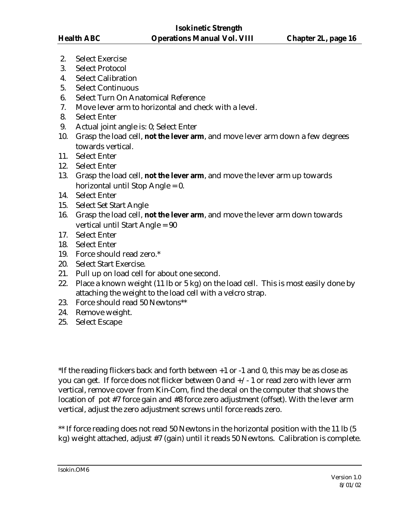- 2. Select Exercise
- 3. Select Protocol
- 4. Select Calibration
- 5. Select Continuous
- 6. Select Turn On Anatomical Reference
- 7. Move lever arm to horizontal and check with a level.
- 8. Select Enter
- 9. Actual joint angle is: 0; Select Enter
- 10. Grasp the load cell, **not the lever arm**, and move lever arm down a few degrees towards vertical.
- 11. Select Enter
- 12. Select Enter
- 13. Grasp the load cell, **not the lever arm**, and move the lever arm up towards horizontal until Stop Angle = 0.
- 14. Select Enter
- 15. Select Set Start Angle
- 16. Grasp the load cell, **not the lever arm**, and move the lever arm down towards vertical until Start Angle = 90
- 17. Select Enter
- 18. Select Enter
- 19. Force should read zero.\*
- 20. Select Start Exercise.
- 21. Pull up on load cell for about one second.
- 22. Place a known weight (11 lb or 5 kg) on the load cell. This is most easily done by attaching the weight to the load cell with a velcro strap.
- 23. Force should read 50 Newtons\*\*
- 24. Remove weight.
- 25. Select Escape

\*If the reading flickers back and forth between +1 or -1 and 0, this may be as close as you can get. If force does not flicker between  $0$  and  $+\prime$  - 1 or read zero with lever arm vertical, remove cover from Kin-Com, find the decal on the computer that shows the location of pot #7 force gain and #8 force zero adjustment (offset). With the lever arm vertical, adjust the zero adjustment screws until force reads zero.

\*\* If force reading does not read 50 Newtons in the horizontal position with the 11 lb (5) kg) weight attached, adjust #7 (gain) until it reads 50 Newtons. Calibration is complete.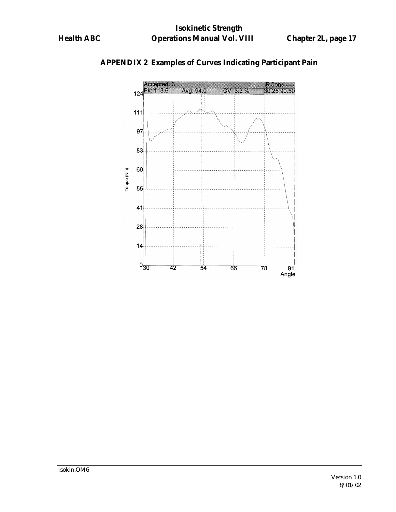

# **APPENDIX 2 Examples of Curves Indicating Participant Pain**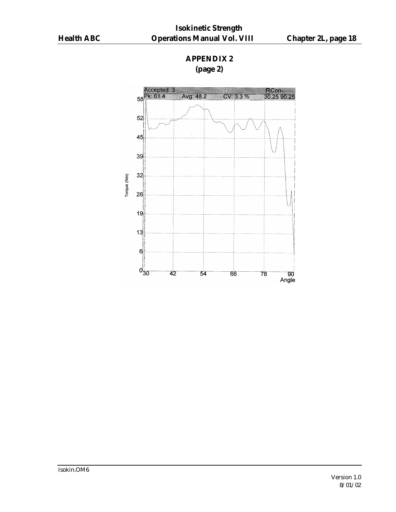# **APPENDIX 2 (page 2)**



Isokin.OM6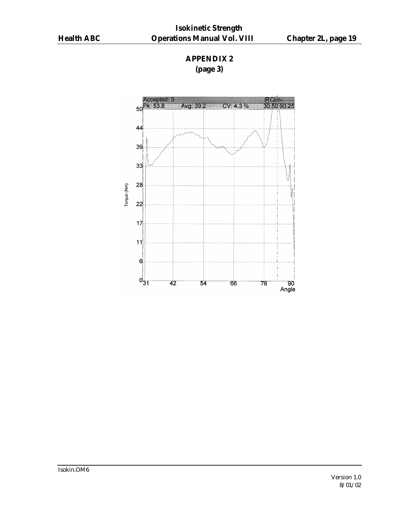# **APPENDIX 2 (page 3)**

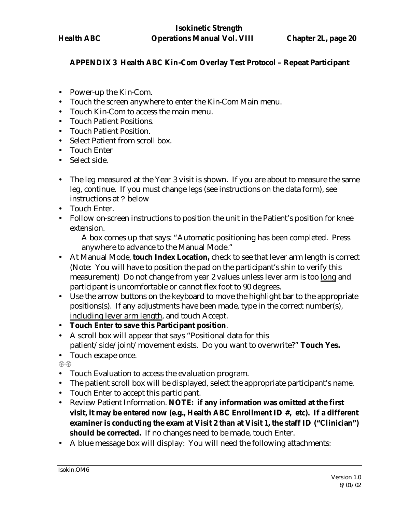## **APPENDIX 3 Health ABC Kin-Com Overlay Test Protocol – Repeat Participant**

- Power-up the Kin-Com.
- Touch the screen anywhere to enter the Kin-Com Main menu.
- Touch Kin-Com to access the main menu.
- Touch Patient Positions.
- Touch Patient Position.
- Select Patient from scroll box.
- Touch Enter
- Select side.
- The leg measured at the Year 3 visit is shown. If you are about to measure the same leg, continue. If you must change legs (see instructions on the data form), see instructions at ? below
- Touch Enter.
- Follow on-screen instructions to position the unit in the Patient's position for knee extension.

A box comes up that says: "Automatic positioning has been completed. Press anywhere to advance to the Manual Mode."

- At Manual Mode, **touch Index Location,** check to see that lever arm length is correct (Note: You will have to position the pad on the participant's shin to verify this measurement) Do not change from year 2 values unless lever arm is too long and participant is uncomfortable or cannot flex foot to 90 degrees.
- Use the arrow buttons on the keyboard to move the highlight bar to the appropriate positions(s). If any adjustments have been made, type in the correct number(s), including lever arm length, and touch Accept.
- **Touch Enter to save this Participant position**.
- A scroll box will appear that says "Positional data for this patient/side/joint/movement exists. Do you want to overwrite?" **Touch Yes.**
- Touch escape once.

**{{}}** {**{}**}

- Touch Evaluation to access the evaluation program.
- The patient scroll box will be displayed, select the appropriate participant's name.
- Touch Enter to accept this participant.
- Review Patient Information. **NOTE: if any information was omitted at the first visit, it may be entered now (e.g., Health ABC Enrollment ID #, etc). If a different examiner is conducting the exam at Visit 2 than at Visit 1, the staff ID ("Clinician") should be corrected.** If no changes need to be made, touch Enter.
- A blue message box will display: You will need the following attachments: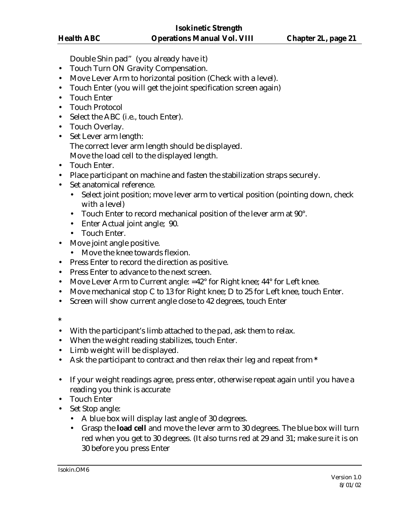Double Shin pad" (you already have it)

- Touch Turn ON Gravity Compensation.
- Move Lever Arm to horizontal position (Check with a level).
- Touch Enter (you will get the joint specification screen again)
- Touch Enter
- Touch Protocol
- Select the ABC (i.e., touch Enter).
- Touch Overlay.
- Set Lever arm length: The correct lever arm length should be displayed. Move the load cell to the displayed length.
- Touch Enter.
- Place participant on machine and fasten the stabilization straps securely.
- Set anatomical reference.
	- Select joint position; move lever arm to vertical position (pointing down, check with a level)
	- Touch Enter to record mechanical position of the lever arm at 90°.
	- Enter Actual joint angle; 90.
	- Touch Enter.
- Move joint angle positive.
	- Move the knee towards flexion.
- Press Enter to record the direction as positive.
- Press Enter to advance to the next screen.
- Move Lever Arm to Current angle: =42° for Right knee; 44° for Left knee.
- Move mechanical stop C to 13 for Right knee; D to 25 for Left knee, touch Enter.
- Screen will show current angle close to 42 degrees, touch Enter
- **\***
- With the participant's limb attached to the pad, ask them to relax.
- When the weight reading stabilizes, touch Enter.
- Limb weight will be displayed.
- Ask the participant to contract and then relax their leg and repeat from **\***
- If your weight readings agree, press enter, otherwise repeat again until you have a reading you think is accurate
- Touch Enter
- Set Stop angle:
	- A blue box will display last angle of 30 degrees.
	- Grasp the **load cell** and move the lever arm to 30 degrees. The blue box will turn red when you get to 30 degrees. (It also turns red at 29 and 31; make sure it is on 30 before you press Enter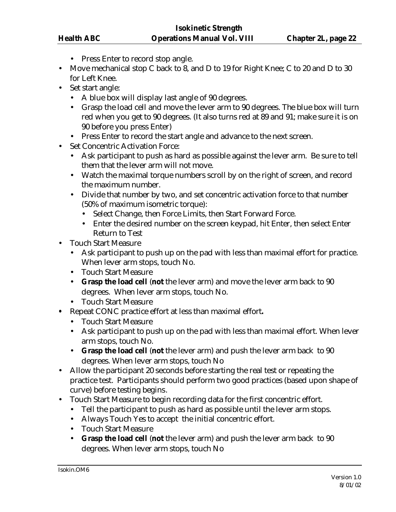- Press Enter to record stop angle.
- Move mechanical stop C back to 8, and D to 19 for Right Knee; C to 20 and D to 30 for Left Knee.
- Set start angle:
	- A blue box will display last angle of 90 degrees.
	- Grasp the load cell and move the lever arm to 90 degrees. The blue box will turn red when you get to 90 degrees. (It also turns red at 89 and 91; make sure it is on 90 before you press Enter)
	- Press Enter to record the start angle and advance to the next screen.
- Set Concentric Activation Force:
	- Ask participant to push as hard as possible against the lever arm. Be sure to tell them that the lever arm will not move.
	- Watch the maximal torque numbers scroll by on the right of screen, and record the maximum number.
	- Divide that number by two, and set concentric activation force to that number (50% of maximum isometric torque):
		- Select Change, then Force Limits, then Start Forward Force.
		- Enter the desired number on the screen keypad, hit Enter, then select Enter Return to Test
- Touch Start Measure
	- Ask participant to push up on the pad with less than maximal effort for practice. When lever arm stops, touch No.
	- Touch Start Measure
	- **Grasp the load cell** (**not** the lever arm) and move the lever arm back to 90 degrees. When lever arm stops, touch No.
	- Touch Start Measure
- **•** Repeat CONC practice effort at less than maximal effort**.**
	- Touch Start Measure
	- Ask participant to push up on the pad with less than maximal effort. When lever arm stops, touch No.
	- **Grasp the load cell** (**not** the lever arm) and push the lever arm back to 90 degrees. When lever arm stops, touch No
- Allow the participant 20 seconds before starting the real test or repeating the practice test. Participants should perform two good practices (based upon shape of curve) before testing begins.
- Touch Start Measure to begin recording data for the first concentric effort.
	- Tell the participant to push as hard as possible until the lever arm stops.
	- Always Touch Yes to accept the initial concentric effort.
	- Touch Start Measure
	- **Grasp the load cell** (**not** the lever arm) and push the lever arm back to 90 degrees. When lever arm stops, touch No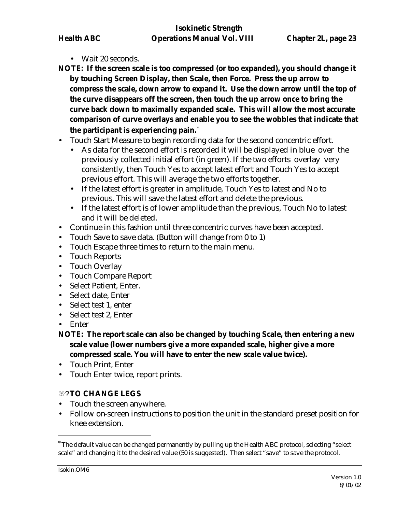- Wait 20 seconds.
- **NOTE: If the screen scale is too compressed (or too expanded), you should change it by touching Screen Display, then Scale, then Force. Press the up arrow to compress the scale, down arrow to expand it. Use the down arrow until the top of the curve disappears off the screen, then touch the up arrow once to bring the curve back down to maximally expanded scale. This will allow the most accurate comparison of curve overlays and enable you to see the wobbles that indicate that the participant is experiencing pain.**\*
- Touch Start Measure to begin recording data for the second concentric effort.
	- As data for the second effort is recorded it will be displayed in blue over the previously collected initial effort (in green). If the two efforts overlay very consistently, then Touch Yes to accept latest effort and Touch Yes to accept previous effort. This will average the two efforts together.
	- If the latest effort is greater in amplitude, Touch Yes to latest and No to previous. This will save the latest effort and delete the previous.
	- If the latest effort is of lower amplitude than the previous, Touch No to latest and it will be deleted.
- Continue in this fashion until three concentric curves have been accepted.
- Touch Save to save data. (Button will change from 0 to 1)
- Touch Escape three times to return to the main menu.
- Touch Reports
- Touch Overlay
- Touch Compare Report
- Select Patient, Enter.
- Select date, Enter
- Select test 1, enter
- Select test 2, Enter
- Enter
- **NOTE: The report scale can also be changed by touching Scale, then entering a new scale value (lower numbers give a more expanded scale, higher give a more compressed scale. You will have to enter the new scale value twice).**
- Touch Print, Enter
- Touch Enter twice, report prints.

# {?**TO CHANGE LEGS**

- Touch the screen anywhere.
- Follow on-screen instructions to position the unit in the standard preset position for knee extension.

 $\overline{a}$ 

<sup>\*</sup> The default value can be changed permanently by pulling up the Health ABC protocol, selecting "select scale" and changing it to the desired value (50 is suggested). Then select "save" to save the protocol.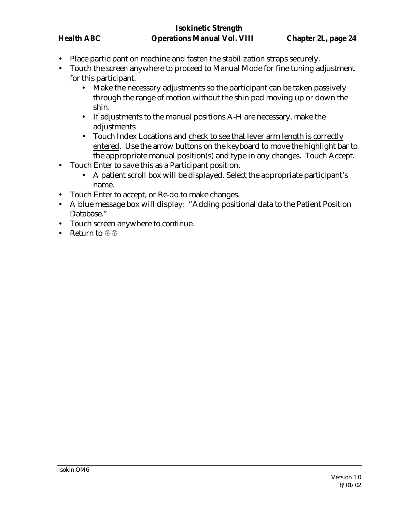- Place participant on machine and fasten the stabilization straps securely.
- Touch the screen anywhere to proceed to Manual Mode for fine tuning adjustment for this participant.
	- Make the necessary adjustments so the participant can be taken passively through the range of motion without the shin pad moving up or down the shin.
	- If adjustments to the manual positions A-H are necessary, make the adjustments
	- Touch Index Locations and check to see that lever arm length is correctly entered. Use the arrow buttons on the keyboard to move the highlight bar to the appropriate manual position(s) and type in any changes. Touch Accept.
- Touch Enter to save this as a Participant position.
	- A patient scroll box will be displayed. Select the appropriate participant's name.
- Touch Enter to accept, or Re-do to make changes.
- A blue message box will display: "Adding positional data to the Patient Position Database."
- Touch screen anywhere to continue.
- Return to  $\circledast\circledast$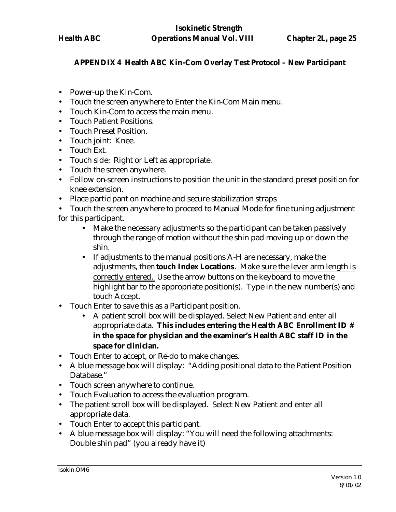## **APPENDIX 4 Health ABC Kin-Com Overlay Test Protocol – New Participant**

- Power-up the Kin-Com.
- Touch the screen anywhere to Enter the Kin-Com Main menu.
- Touch Kin-Com to access the main menu.
- Touch Patient Positions.
- Touch Preset Position.
- Touch joint: Knee.
- Touch Ext.
- Touch side: Right or Left as appropriate.
- Touch the screen anywhere.
- Follow on-screen instructions to position the unit in the standard preset position for knee extension.
- Place participant on machine and secure stabilization straps
- Touch the screen anywhere to proceed to Manual Mode for fine tuning adjustment for this participant.
	- Make the necessary adjustments so the participant can be taken passively through the range of motion without the shin pad moving up or down the shin.
	- If adjustments to the manual positions A-H are necessary, make the adjustments, then **touch Index Locations**. Make sure the lever arm length is correctly entered. Use the arrow buttons on the keyboard to move the highlight bar to the appropriate position(s). Type in the new number(s) and touch Accept.
- Touch Enter to save this as a Participant position.
	- A patient scroll box will be displayed. Select New Patient and enter all appropriate data. **This includes entering the Health ABC Enrollment ID # in the space for physician and the examiner's Health ABC staff ID in the space for clinician.**
- Touch Enter to accept, or Re-do to make changes.
- A blue message box will display: "Adding positional data to the Patient Position Database."
- Touch screen anywhere to continue.
- Touch Evaluation to access the evaluation program.
- The patient scroll box will be displayed. Select New Patient and enter all appropriate data.
- Touch Enter to accept this participant.
- A blue message box will display: "You will need the following attachments: Double shin pad" (you already have it)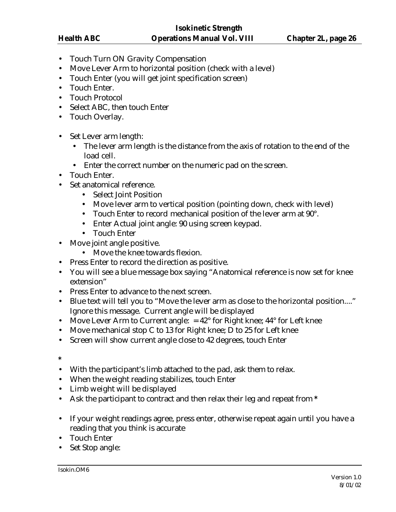- Touch Turn ON Gravity Compensation
- Move Lever Arm to horizontal position (check with a level)
- Touch Enter (you will get joint specification screen)
- Touch Enter.
- Touch Protocol
- Select ABC, then touch Enter
- Touch Overlay.
- Set Lever arm length:
	- The lever arm length is the distance from the axis of rotation to the end of the load cell.
	- Enter the correct number on the numeric pad on the screen.
- Touch Enter.
- Set anatomical reference.
	- Select Joint Position
	- Move lever arm to vertical position (pointing down, check with level)
	- Touch Enter to record mechanical position of the lever arm at 90°.
	- Enter Actual joint angle: 90 using screen keypad.
	- Touch Enter
- Move joint angle positive.
	- Move the knee towards flexion.
- Press Enter to record the direction as positive.
- You will see a blue message box saying "Anatomical reference is now set for knee extension"
- Press Enter to advance to the next screen.
- Blue text will tell you to "Move the lever arm as close to the horizontal position...." Ignore this message. Current angle will be displayed
- Move Lever Arm to Current angle:  $= 42^{\circ}$  for Right knee;  $44^{\circ}$  for Left knee
- Move mechanical stop C to 13 for Right knee; D to 25 for Left knee
- Screen will show current angle close to 42 degrees, touch Enter
- **\***
- With the participant's limb attached to the pad, ask them to relax.
- When the weight reading stabilizes, touch Enter
- Limb weight will be displayed
- Ask the participant to contract and then relax their leg and repeat from **\***
- If your weight readings agree, press enter, otherwise repeat again until you have a reading that you think is accurate
- Touch Enter
- Set Stop angle: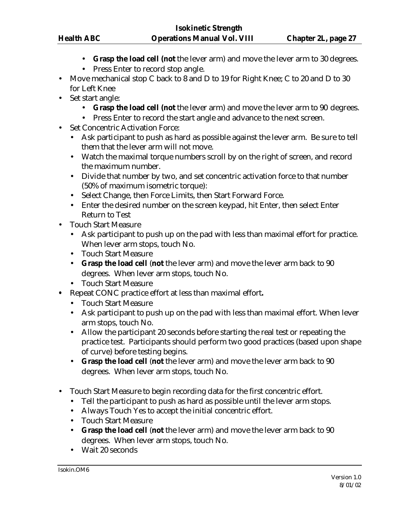- **Grasp the load cell (not** the lever arm) and move the lever arm to 30 degrees.
- Press Enter to record stop angle.
- Move mechanical stop C back to 8 and D to 19 for Right Knee; C to 20 and D to 30 for Left Knee
- Set start angle:
	- **Grasp the load cell (not** the lever arm) and move the lever arm to 90 degrees.
	- Press Enter to record the start angle and advance to the next screen.
- Set Concentric Activation Force:
	- Ask participant to push as hard as possible against the lever arm. Be sure to tell them that the lever arm will not move.
	- Watch the maximal torque numbers scroll by on the right of screen, and record the maximum number.
	- Divide that number by two, and set concentric activation force to that number (50% of maximum isometric torque):
	- Select Change, then Force Limits, then Start Forward Force.
	- Enter the desired number on the screen keypad, hit Enter, then select Enter Return to Test
- Touch Start Measure
	- Ask participant to push up on the pad with less than maximal effort for practice. When lever arm stops, touch No.
	- Touch Start Measure
	- **Grasp the load cell** (**not** the lever arm) and move the lever arm back to 90 degrees. When lever arm stops, touch No.
	- Touch Start Measure
- **•** Repeat CONC practice effort at less than maximal effort**.**
	- Touch Start Measure
	- Ask participant to push up on the pad with less than maximal effort. When lever arm stops, touch No.
	- Allow the participant 20 seconds before starting the real test or repeating the practice test. Participants should perform two good practices (based upon shape of curve) before testing begins.
	- **Grasp the load cell** (**not** the lever arm) and move the lever arm back to 90 degrees. When lever arm stops, touch No.
- Touch Start Measure to begin recording data for the first concentric effort.
	- Tell the participant to push as hard as possible until the lever arm stops.
	- Always Touch Yes to accept the initial concentric effort.
	- Touch Start Measure
	- **Grasp the load cell** (**not** the lever arm) and move the lever arm back to 90 degrees. When lever arm stops, touch No.
	- Wait 20 seconds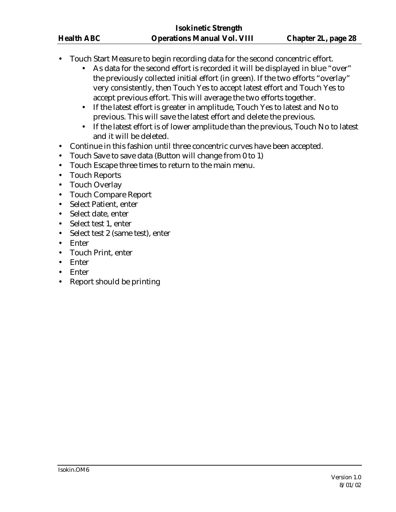- Touch Start Measure to begin recording data for the second concentric effort.
	- As data for the second effort is recorded it will be displayed in blue "over" the previously collected initial effort (in green). If the two efforts "overlay" very consistently, then Touch Yes to accept latest effort and Touch Yes to accept previous effort. This will average the two efforts together.
	- If the latest effort is greater in amplitude, Touch Yes to latest and No to previous. This will save the latest effort and delete the previous.
	- If the latest effort is of lower amplitude than the previous, Touch No to latest and it will be deleted.
- Continue in this fashion until three concentric curves have been accepted.
- Touch Save to save data (Button will change from 0 to 1)
- Touch Escape three times to return to the main menu.
- Touch Reports
- Touch Overlay
- Touch Compare Report
- Select Patient, enter
- Select date, enter
- Select test 1, enter
- Select test 2 (same test), enter
- Enter
- Touch Print, enter
- Enter
- Enter
- Report should be printing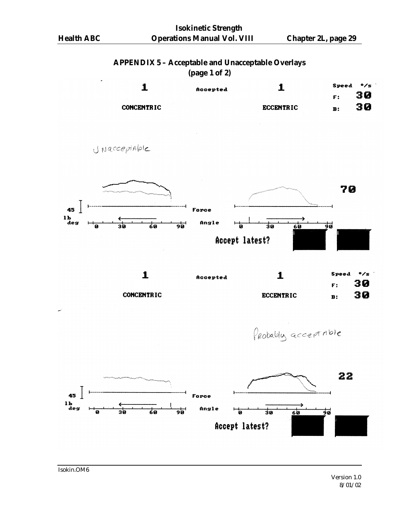#### **APPENDIX 5 – Acceptable and Unacceptable Overlays (page 1 of 2)**

| $\mathbf{v}$ $\mathbf{v}$ $\mathbf{v}$ $\mathbf{v}$ |          |                  |       |              |  |
|-----------------------------------------------------|----------|------------------|-------|--------------|--|
|                                                     | Accepted |                  | Speed | $\bullet$ /s |  |
|                                                     |          |                  | F:    | 30           |  |
| <b>CONCENTRIC</b>                                   |          | <b>ECCENTRIC</b> | B:    | 30           |  |
|                                                     |          |                  |       |              |  |

JNacceptable



**CONCENTRIC** 

Probably acceptable

**ECCENTRIC** 



30

 $\mathbf{B}$ :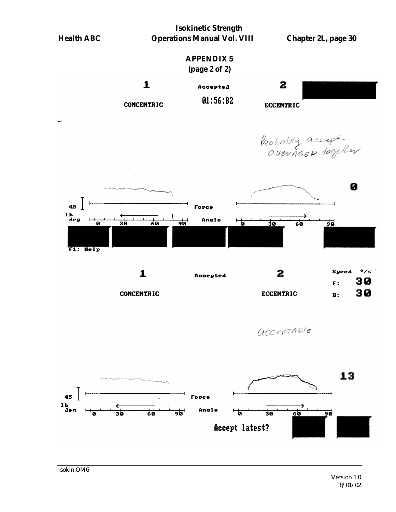

Isokin.OM6

Version 1.0 8/01/02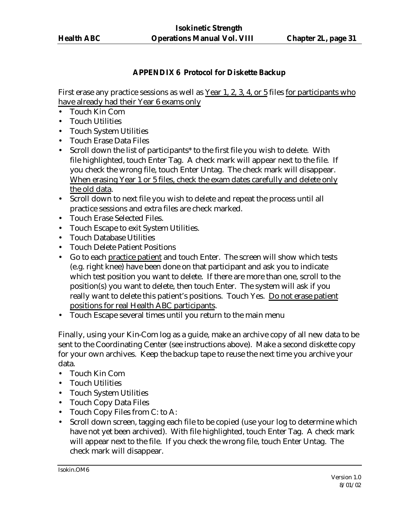# **APPENDIX 6 Protocol for Diskette Backup**

First erase any practice sessions as well as Year 1, 2, 3, 4, or 5 files for participants who have already had their Year 6 exams only

- Touch Kin Com
- Touch Utilities
- Touch System Utilities
- Touch Erase Data Files
- Scroll down the list of participants\* to the first file you wish to delete. With file highlighted, touch Enter Tag. A check mark will appear next to the file. If you check the wrong file, touch Enter Untag. The check mark will disappear. When erasing Year 1 or 5 files, check the exam dates carefully and delete only the old data.
- Scroll down to next file you wish to delete and repeat the process until all practice sessions and extra files are check marked.
- Touch Erase Selected Files.
- Touch Escape to exit System Utilities.
- Touch Database Utilities
- Touch Delete Patient Positions
- Go to each practice patient and touch Enter. The screen will show which tests (e.g. right knee) have been done on that participant and ask you to indicate which test position you want to delete. If there are more than one, scroll to the position(s) you want to delete, then touch Enter. The system will ask if you really want to delete this patient's positions. Touch Yes. Do not erase patient positions for real Health ABC participants.
- Touch Escape several times until you return to the main menu

Finally, using your Kin-Com log as a guide, make an archive copy of all new data to be sent to the Coordinating Center (see instructions above). Make a second diskette copy for your own archives. Keep the backup tape to reuse the next time you archive your data.

- Touch Kin Com
- Touch Utilities
- Touch System Utilities
- Touch Copy Data Files
- Touch Copy Files from C: to A:
- Scroll down screen, tagging each file to be copied (use your log to determine which have not yet been archived). With file highlighted, touch Enter Tag. A check mark will appear next to the file. If you check the wrong file, touch Enter Untag. The check mark will disappear.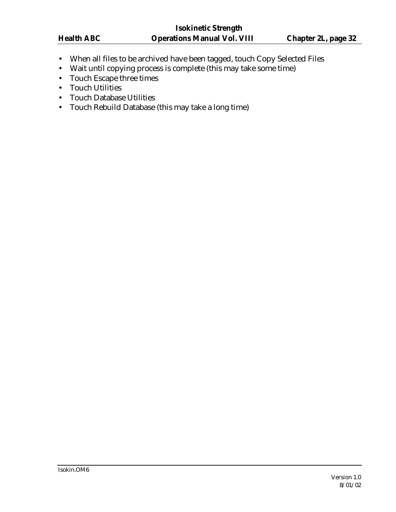- When all files to be archived have been tagged, touch Copy Selected Files
- Wait until copying process is complete (this may take some time)
- Touch Escape three times
- Touch Utilities
- Touch Database Utilities
- Touch Rebuild Database (this may take a long time)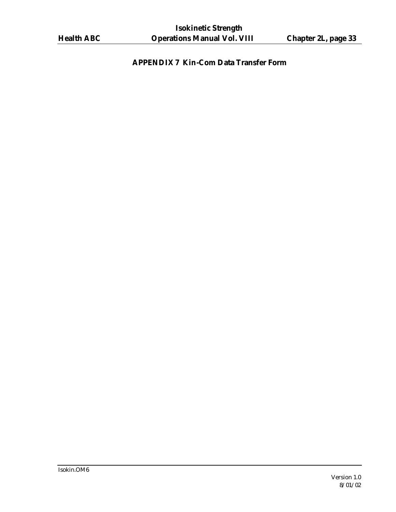# **APPENDIX 7 Kin-Com Data Transfer Form**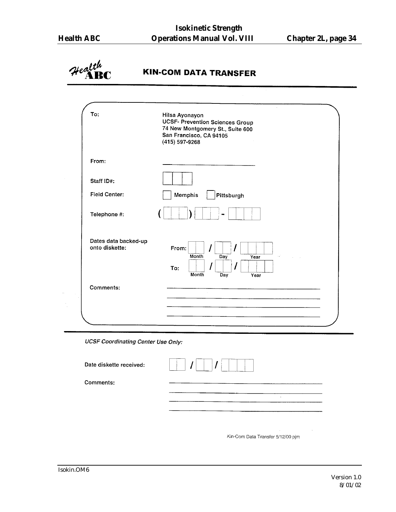

# **KIN-COM DATA TRANSFER**

| To:                                    | Hilsa Ayonayon<br><b>UCSF- Prevention Sciences Group</b><br>74 New Montgomery St., Suite 600<br>San Francisco, CA 94105<br>(415) 597-9268 |
|----------------------------------------|-------------------------------------------------------------------------------------------------------------------------------------------|
| From:                                  |                                                                                                                                           |
| Staff ID#:                             |                                                                                                                                           |
| <b>Field Center:</b>                   | Memphis<br>Pittsburgh                                                                                                                     |
| Telephone #:                           |                                                                                                                                           |
| Dates data backed-up<br>onto diskette: | From:<br>Month<br>Day<br>$\sim 10^4$<br>Year<br>To:<br>Month<br>Day<br>Year                                                               |
| Comments:                              |                                                                                                                                           |
|                                        |                                                                                                                                           |

**UCSF Coordinating Center Use Only:** 

| Date diskette received: |   |
|-------------------------|---|
| Comments:               |   |
|                         | ٠ |
|                         |   |

Kin-Com Data Transfer 5/12/00 pjm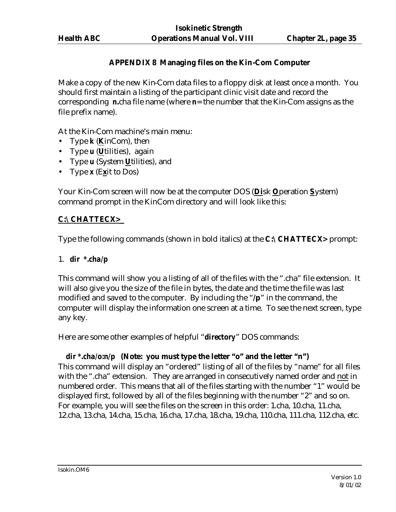# **APPENDIX 8 Managing files on the Kin-Com Computer**

Make a copy of the new Kin-Com data files to a floppy disk at least once a month. You should first maintain a listing of the participant clinic visit date and record the corresponding *n***.**cha file name (where *n*= the number that the Kin-Com assigns as the file prefix name).

At the Kin-Com machine's main menu:

- Type *k* (**K**inCom), then
- Type *u* (**U**tilities), again
- Type *u* (System **U**tilities), and
- Type *x* (E**x**it to Dos)

Your Kin-Com screen will now be at the computer DOS (**Di**sk **O**peration **S**ystem) command prompt in the KinCom directory and will look like this:

#### **C:\CHATTECX>\_**

Type the following commands (shown in bold italics) at the **C:\CHATTECX>** prompt:

#### 1. *dir \*.cha/p*

This command will show you a listing of all of the files with the ".cha" file extension. It will also give you the size of the file in bytes, the date and the time the file was last modified and saved to the computer. By including the "**/p**" in the command, the computer will display the information one screen at a time. To see the next screen, type any key.

Here are some other examples of helpful "*directory*" DOS commands:

#### *dir \*.cha/o:n/p* **(Note: you must type the letter "o" and the letter "n")**

This command will display an "ordered" listing of all of the files by "name" for all files with the ".cha" extension. They are arranged in consecutively named order and not in numbered order. This means that all of the files starting with the number "1" would be displayed first, followed by all of the files beginning with the number "2" and so on. For example, you will see the files on the screen in this order: 1.cha, 10.cha, 11.cha, 12.cha, 13.cha, 14.cha, 15.cha, 16.cha, 17.cha, 18.cha, 19.cha, 110.cha, 111.cha, 112.cha, etc.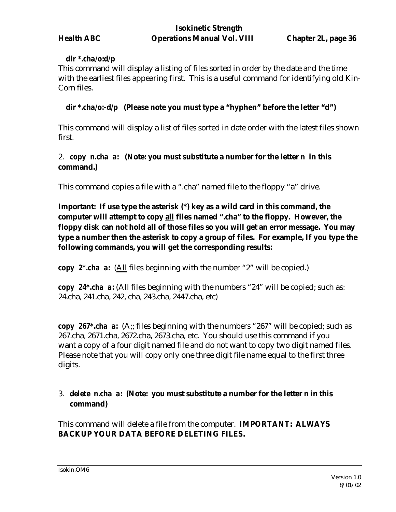#### *dir \*.cha/o:d/p*

This command will display a listing of files sorted in order by the date and the time with the earliest files appearing first. This is a useful command for identifying old Kin-Com files.

#### *dir \*.cha/o:-d/p* **(Please note you must type a "hyphen" before the letter "d")**

This command will display a list of files sorted in date order with the latest files shown first.

## 2. *copy n.cha a:* **(Note: you must substitute a number for the letter** *n* **in this command.)**

This command copies a file with a ".cha" named file to the floppy "a" drive.

**Important: If use type the asterisk (\*) key as a wild card in this command, the computer will attempt to copy all files named ".cha" to the floppy. However, the floppy disk can not hold all of those files so you will get an error message. You may type a number then the asterisk to copy a group of files. For example, If you type the following commands, you will get the corresponding results:**

*copy 2\*.cha a:* (All files beginning with the number "2" will be copied.)

*copy 24\*.cha a:* (All files beginning with the numbers "24" will be copied; such as: 24.cha, 241.cha, 242, cha, 243.cha, 2447.cha, etc)

*copy 267\*.cha a:* (A;; files beginning with the numbers "267" will be copied; such as 267.cha, 2671.cha, 2672.cha, 2673.cha, etc. You should use this command if you want a copy of a four digit named file and do not want to copy two digit named files. Please note that you will copy only one three digit file name equal to the first three digits.

# 3. *delete n.cha a:* **(Note: you must substitute a number for the letter** *n* **in this command)**

This command will delete a file from the computer. **IMPORTANT: ALWAYS BACKUP YOUR DATA BEFORE DELETING FILES.**